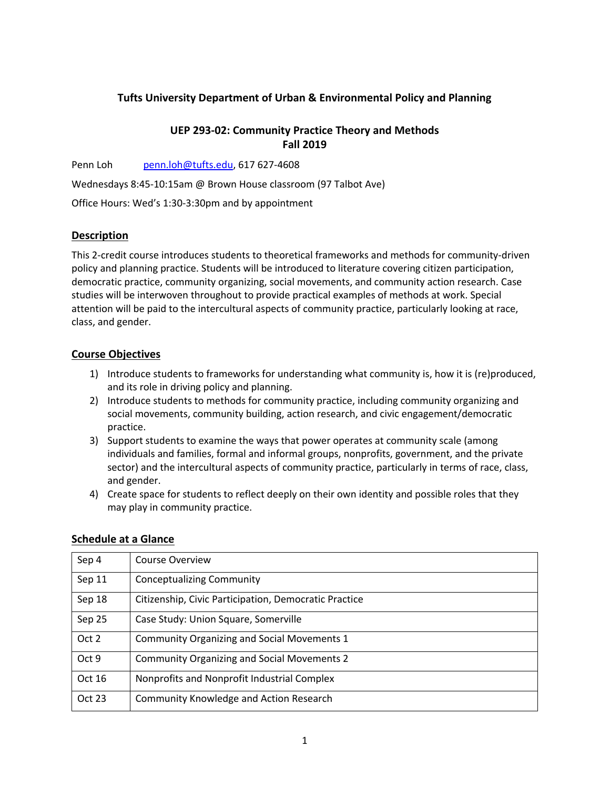# **Tufts University Department of Urban & Environmental Policy and Planning**

# **UEP 293-02: Community Practice Theory and Methods Fall 2019**

Penn Loh penn.loh@tufts.edu, 617 627-4608

Wednesdays 8:45-10:15am @ Brown House classroom (97 Talbot Ave)

Office Hours: Wed's 1:30-3:30pm and by appointment

# **Description**

This 2-credit course introduces students to theoretical frameworks and methods for community-driven policy and planning practice. Students will be introduced to literature covering citizen participation, democratic practice, community organizing, social movements, and community action research. Case studies will be interwoven throughout to provide practical examples of methods at work. Special attention will be paid to the intercultural aspects of community practice, particularly looking at race, class, and gender.

# **Course Objectives**

- 1) Introduce students to frameworks for understanding what community is, how it is (re)produced, and its role in driving policy and planning.
- 2) Introduce students to methods for community practice, including community organizing and social movements, community building, action research, and civic engagement/democratic practice.
- 3) Support students to examine the ways that power operates at community scale (among individuals and families, formal and informal groups, nonprofits, government, and the private sector) and the intercultural aspects of community practice, particularly in terms of race, class, and gender.
- 4) Create space for students to reflect deeply on their own identity and possible roles that they may play in community practice.

| Sep 4  | <b>Course Overview</b>                                |
|--------|-------------------------------------------------------|
| Sep 11 | <b>Conceptualizing Community</b>                      |
| Sep 18 | Citizenship, Civic Participation, Democratic Practice |
| Sep 25 | Case Study: Union Square, Somerville                  |
| Oct 2  | <b>Community Organizing and Social Movements 1</b>    |
| Oct 9  | <b>Community Organizing and Social Movements 2</b>    |
| Oct 16 | Nonprofits and Nonprofit Industrial Complex           |
| Oct 23 | <b>Community Knowledge and Action Research</b>        |

## **Schedule at a Glance**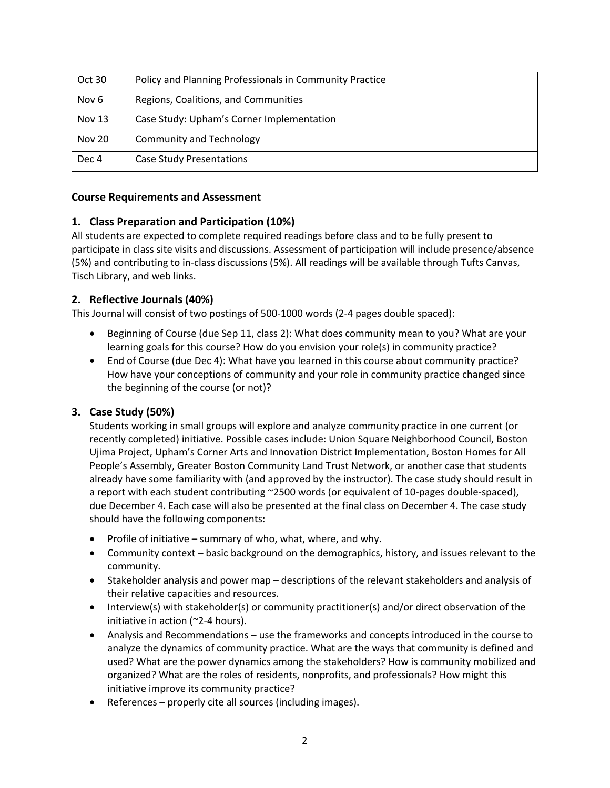| Oct 30           | Policy and Planning Professionals in Community Practice |
|------------------|---------------------------------------------------------|
| Nov <sub>6</sub> | Regions, Coalitions, and Communities                    |
| <b>Nov 13</b>    | Case Study: Upham's Corner Implementation               |
| <b>Nov 20</b>    | <b>Community and Technology</b>                         |
| Dec 4            | <b>Case Study Presentations</b>                         |

#### **Course Requirements and Assessment**

## **1. Class Preparation and Participation (10%)**

All students are expected to complete required readings before class and to be fully present to participate in class site visits and discussions. Assessment of participation will include presence/absence (5%) and contributing to in-class discussions (5%). All readings will be available through Tufts Canvas, Tisch Library, and web links.

## **2. Reflective Journals (40%)**

This Journal will consist of two postings of 500-1000 words (2-4 pages double spaced):

- Beginning of Course (due Sep 11, class 2): What does community mean to you? What are your learning goals for this course? How do you envision your role(s) in community practice?
- End of Course (due Dec 4): What have you learned in this course about community practice? How have your conceptions of community and your role in community practice changed since the beginning of the course (or not)?

## **3. Case Study (50%)**

Students working in small groups will explore and analyze community practice in one current (or recently completed) initiative. Possible cases include: Union Square Neighborhood Council, Boston Ujima Project, Upham's Corner Arts and Innovation District Implementation, Boston Homes for All People's Assembly, Greater Boston Community Land Trust Network, or another case that students already have some familiarity with (and approved by the instructor). The case study should result in a report with each student contributing ~2500 words (or equivalent of 10-pages double-spaced), due December 4. Each case will also be presented at the final class on December 4. The case study should have the following components:

- Profile of initiative summary of who, what, where, and why.
- Community context basic background on the demographics, history, and issues relevant to the community.
- Stakeholder analysis and power map descriptions of the relevant stakeholders and analysis of their relative capacities and resources.
- Interview(s) with stakeholder(s) or community practitioner(s) and/or direct observation of the initiative in action (~2-4 hours).
- Analysis and Recommendations use the frameworks and concepts introduced in the course to analyze the dynamics of community practice. What are the ways that community is defined and used? What are the power dynamics among the stakeholders? How is community mobilized and organized? What are the roles of residents, nonprofits, and professionals? How might this initiative improve its community practice?
- References properly cite all sources (including images).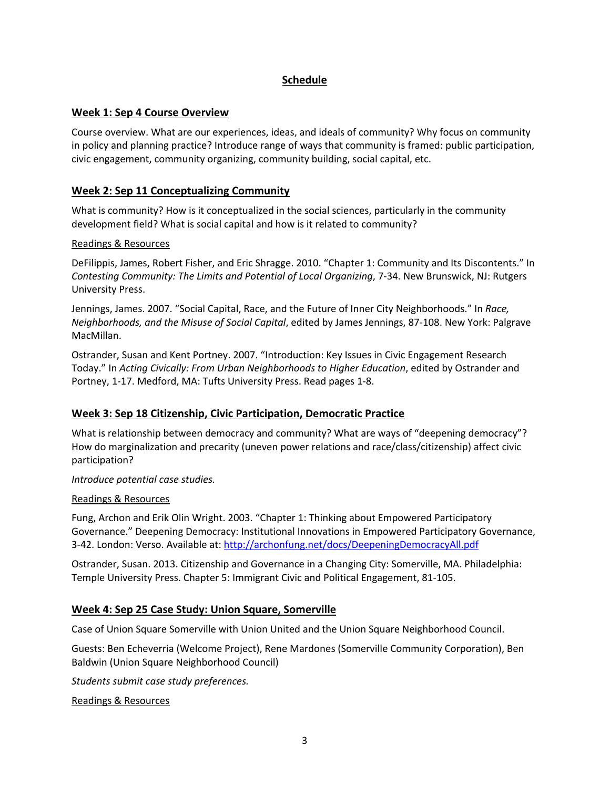# **Schedule**

# **Week 1: Sep 4 Course Overview**

Course overview. What are our experiences, ideas, and ideals of community? Why focus on community in policy and planning practice? Introduce range of ways that community is framed: public participation, civic engagement, community organizing, community building, social capital, etc.

## **Week 2: Sep 11 Conceptualizing Community**

What is community? How is it conceptualized in the social sciences, particularly in the community development field? What is social capital and how is it related to community?

#### Readings & Resources

DeFilippis, James, Robert Fisher, and Eric Shragge. 2010. "Chapter 1: Community and Its Discontents." In *Contesting Community: The Limits and Potential of Local Organizing*, 7-34. New Brunswick, NJ: Rutgers University Press.

Jennings, James. 2007. "Social Capital, Race, and the Future of Inner City Neighborhoods." In *Race, Neighborhoods, and the Misuse of Social Capital*, edited by James Jennings, 87-108. New York: Palgrave MacMillan.

Ostrander, Susan and Kent Portney. 2007. "Introduction: Key Issues in Civic Engagement Research Today." In *Acting Civically: From Urban Neighborhoods to Higher Education*, edited by Ostrander and Portney, 1-17. Medford, MA: Tufts University Press. Read pages 1-8.

# **Week 3: Sep 18 Citizenship, Civic Participation, Democratic Practice**

What is relationship between democracy and community? What are ways of "deepening democracy"? How do marginalization and precarity (uneven power relations and race/class/citizenship) affect civic participation?

#### *Introduce potential case studies.*

#### Readings & Resources

Fung, Archon and Erik Olin Wright. 2003. "Chapter 1: Thinking about Empowered Participatory Governance." Deepening Democracy: Institutional Innovations in Empowered Participatory Governance, 3-42. London: Verso. Available at: http://archonfung.net/docs/DeepeningDemocracyAll.pdf

Ostrander, Susan. 2013. Citizenship and Governance in a Changing City: Somerville, MA. Philadelphia: Temple University Press. Chapter 5: Immigrant Civic and Political Engagement, 81-105.

## **Week 4: Sep 25 Case Study: Union Square, Somerville**

Case of Union Square Somerville with Union United and the Union Square Neighborhood Council.

Guests: Ben Echeverria (Welcome Project), Rene Mardones (Somerville Community Corporation), Ben Baldwin (Union Square Neighborhood Council)

*Students submit case study preferences.*

Readings & Resources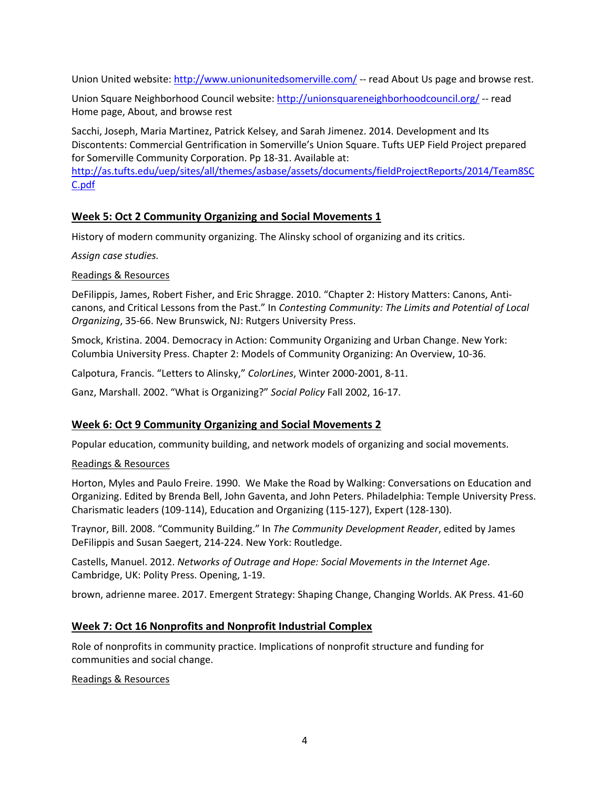Union United website: http://www.unionunitedsomerville.com/ -- read About Us page and browse rest.

Union Square Neighborhood Council website: http://unionsquareneighborhoodcouncil.org/ -- read Home page, About, and browse rest

Sacchi, Joseph, Maria Martinez, Patrick Kelsey, and Sarah Jimenez. 2014. Development and Its Discontents: Commercial Gentrification in Somerville's Union Square. Tufts UEP Field Project prepared for Somerville Community Corporation. Pp 18-31. Available at:

http://as.tufts.edu/uep/sites/all/themes/asbase/assets/documents/fieldProjectReports/2014/Team8SC C.pdf

# **Week 5: Oct 2 Community Organizing and Social Movements 1**

History of modern community organizing. The Alinsky school of organizing and its critics.

*Assign case studies.*

Readings & Resources

DeFilippis, James, Robert Fisher, and Eric Shragge. 2010. "Chapter 2: History Matters: Canons, Anticanons, and Critical Lessons from the Past." In *Contesting Community: The Limits and Potential of Local Organizing*, 35-66. New Brunswick, NJ: Rutgers University Press.

Smock, Kristina. 2004. Democracy in Action: Community Organizing and Urban Change. New York: Columbia University Press. Chapter 2: Models of Community Organizing: An Overview, 10-36.

Calpotura, Francis. "Letters to Alinsky," *ColorLines*, Winter 2000-2001, 8-11.

Ganz, Marshall. 2002. "What is Organizing?" *Social Policy* Fall 2002, 16-17.

## **Week 6: Oct 9 Community Organizing and Social Movements 2**

Popular education, community building, and network models of organizing and social movements.

Readings & Resources

Horton, Myles and Paulo Freire. 1990. We Make the Road by Walking: Conversations on Education and Organizing. Edited by Brenda Bell, John Gaventa, and John Peters. Philadelphia: Temple University Press. Charismatic leaders (109-114), Education and Organizing (115-127), Expert (128-130).

Traynor, Bill. 2008. "Community Building." In *The Community Development Reader*, edited by James DeFilippis and Susan Saegert, 214-224. New York: Routledge.

Castells, Manuel. 2012. *Networks of Outrage and Hope: Social Movements in the Internet Age*. Cambridge, UK: Polity Press. Opening, 1-19.

brown, adrienne maree. 2017. Emergent Strategy: Shaping Change, Changing Worlds. AK Press. 41-60

# **Week 7: Oct 16 Nonprofits and Nonprofit Industrial Complex**

Role of nonprofits in community practice. Implications of nonprofit structure and funding for communities and social change.

#### Readings & Resources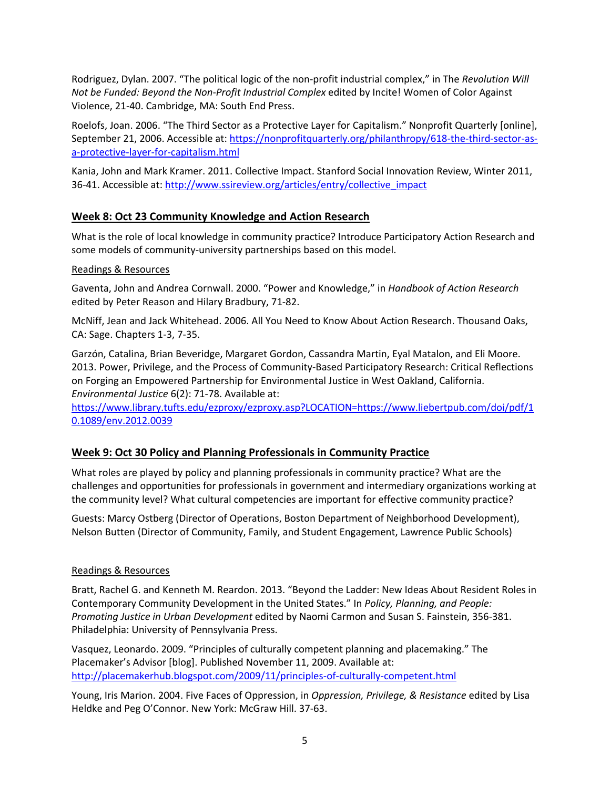Rodriguez, Dylan. 2007. "The political logic of the non-profit industrial complex," in The *Revolution Will Not be Funded: Beyond the Non-Profit Industrial Complex* edited by Incite! Women of Color Against Violence, 21-40. Cambridge, MA: South End Press.

Roelofs, Joan. 2006. "The Third Sector as a Protective Layer for Capitalism." Nonprofit Quarterly [online], September 21, 2006. Accessible at: https://nonprofitquarterly.org/philanthropy/618-the-third-sector-asa-protective-layer-for-capitalism.html

Kania, John and Mark Kramer. 2011. Collective Impact. Stanford Social Innovation Review, Winter 2011, 36-41. Accessible at: http://www.ssireview.org/articles/entry/collective\_impact

## **Week 8: Oct 23 Community Knowledge and Action Research**

What is the role of local knowledge in community practice? Introduce Participatory Action Research and some models of community-university partnerships based on this model.

#### Readings & Resources

Gaventa, John and Andrea Cornwall. 2000. "Power and Knowledge," in *Handbook of Action Research* edited by Peter Reason and Hilary Bradbury, 71-82.

McNiff, Jean and Jack Whitehead. 2006. All You Need to Know About Action Research. Thousand Oaks, CA: Sage. Chapters 1-3, 7-35.

Garzón, Catalina, Brian Beveridge, Margaret Gordon, Cassandra Martin, Eyal Matalon, and Eli Moore. 2013. Power, Privilege, and the Process of Community-Based Participatory Research: Critical Reflections on Forging an Empowered Partnership for Environmental Justice in West Oakland, California. *Environmental Justice* 6(2): 71-78. Available at:

https://www.library.tufts.edu/ezproxy/ezproxy.asp?LOCATION=https://www.liebertpub.com/doi/pdf/1 0.1089/env.2012.0039

#### **Week 9: Oct 30 Policy and Planning Professionals in Community Practice**

What roles are played by policy and planning professionals in community practice? What are the challenges and opportunities for professionals in government and intermediary organizations working at the community level? What cultural competencies are important for effective community practice?

Guests: Marcy Ostberg (Director of Operations, Boston Department of Neighborhood Development), Nelson Butten (Director of Community, Family, and Student Engagement, Lawrence Public Schools)

#### Readings & Resources

Bratt, Rachel G. and Kenneth M. Reardon. 2013. "Beyond the Ladder: New Ideas About Resident Roles in Contemporary Community Development in the United States." In *Policy, Planning, and People: Promoting Justice in Urban Development* edited by Naomi Carmon and Susan S. Fainstein, 356-381. Philadelphia: University of Pennsylvania Press.

Vasquez, Leonardo. 2009. "Principles of culturally competent planning and placemaking." The Placemaker's Advisor [blog]. Published November 11, 2009. Available at: http://placemakerhub.blogspot.com/2009/11/principles-of-culturally-competent.html

Young, Iris Marion. 2004. Five Faces of Oppression, in *Oppression, Privilege, & Resistance* edited by Lisa Heldke and Peg O'Connor. New York: McGraw Hill. 37-63.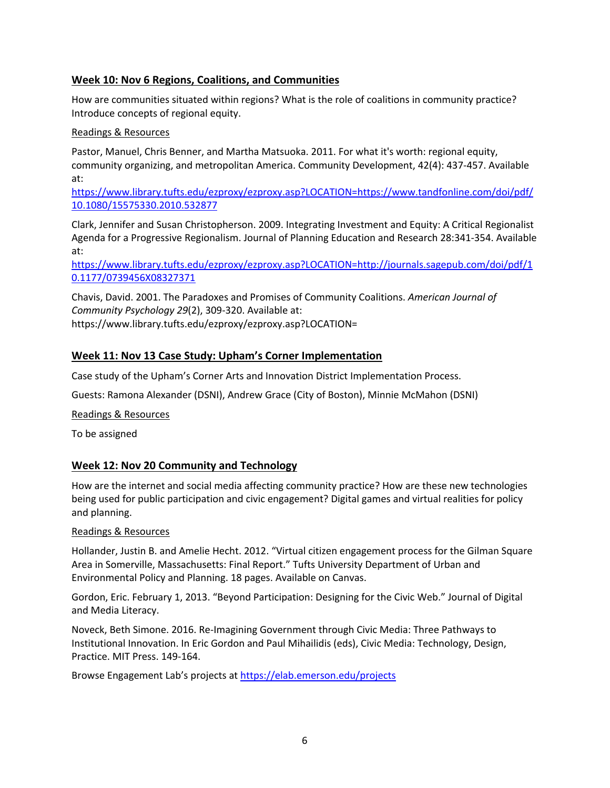# **Week 10: Nov 6 Regions, Coalitions, and Communities**

How are communities situated within regions? What is the role of coalitions in community practice? Introduce concepts of regional equity.

#### Readings & Resources

Pastor, Manuel, Chris Benner, and Martha Matsuoka. 2011. For what it's worth: regional equity, community organizing, and metropolitan America. Community Development, 42(4): 437-457. Available at:

https://www.library.tufts.edu/ezproxy/ezproxy.asp?LOCATION=https://www.tandfonline.com/doi/pdf/ 10.1080/15575330.2010.532877

Clark, Jennifer and Susan Christopherson. 2009. Integrating Investment and Equity: A Critical Regionalist Agenda for a Progressive Regionalism. Journal of Planning Education and Research 28:341-354. Available at:

https://www.library.tufts.edu/ezproxy/ezproxy.asp?LOCATION=http://journals.sagepub.com/doi/pdf/1 0.1177/0739456X08327371

Chavis, David. 2001. The Paradoxes and Promises of Community Coalitions. *American Journal of Community Psychology 29*(2), 309-320. Available at:

https://www.library.tufts.edu/ezproxy/ezproxy.asp?LOCATION=

# **Week 11: Nov 13 Case Study: Upham's Corner Implementation**

Case study of the Upham's Corner Arts and Innovation District Implementation Process.

Guests: Ramona Alexander (DSNI), Andrew Grace (City of Boston), Minnie McMahon (DSNI)

Readings & Resources

To be assigned

## **Week 12: Nov 20 Community and Technology**

How are the internet and social media affecting community practice? How are these new technologies being used for public participation and civic engagement? Digital games and virtual realities for policy and planning.

#### Readings & Resources

Hollander, Justin B. and Amelie Hecht. 2012. "Virtual citizen engagement process for the Gilman Square Area in Somerville, Massachusetts: Final Report." Tufts University Department of Urban and Environmental Policy and Planning. 18 pages. Available on Canvas.

Gordon, Eric. February 1, 2013. "Beyond Participation: Designing for the Civic Web." Journal of Digital and Media Literacy.

Noveck, Beth Simone. 2016. Re-Imagining Government through Civic Media: Three Pathways to Institutional Innovation. In Eric Gordon and Paul Mihailidis (eds), Civic Media: Technology, Design, Practice. MIT Press. 149-164.

Browse Engagement Lab's projects at https://elab.emerson.edu/projects